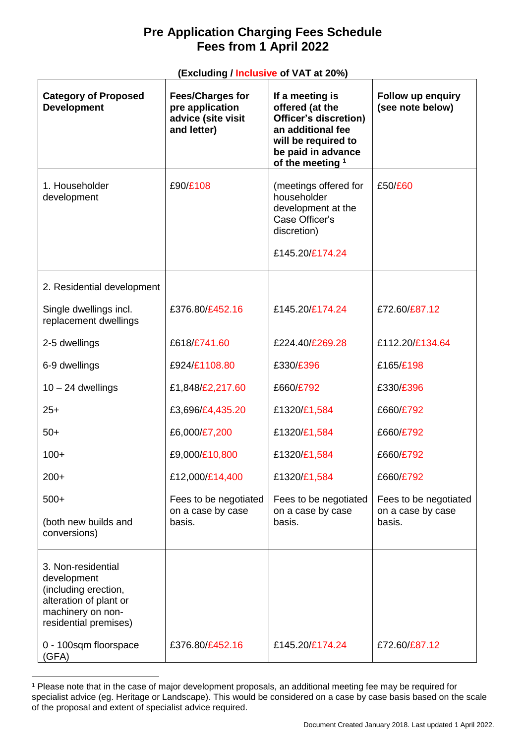## **Pre Application Charging Fees Schedule Fees from 1 April 2022**

## **(Excluding / Inclusive of VAT at 20%)**

| <b>Category of Proposed</b><br><b>Development</b>                                                                                                          | <b>Fees/Charges for</b><br>pre application<br>advice (site visit<br>and letter) | If a meeting is<br>offered (at the<br>Officer's discretion)<br>an additional fee<br>will be required to<br>be paid in advance<br>of the meeting <sup>1</sup> | Follow up enquiry<br>(see note below)                |
|------------------------------------------------------------------------------------------------------------------------------------------------------------|---------------------------------------------------------------------------------|--------------------------------------------------------------------------------------------------------------------------------------------------------------|------------------------------------------------------|
| 1. Householder<br>development                                                                                                                              | £90/£108                                                                        | (meetings offered for<br>householder<br>development at the<br>Case Officer's<br>discretion)<br>£145.20/£174.24                                               | £50/£60                                              |
| 2. Residential development                                                                                                                                 |                                                                                 |                                                                                                                                                              |                                                      |
| Single dwellings incl.<br>replacement dwellings                                                                                                            | £376.80/£452.16                                                                 | £145.20/£174.24                                                                                                                                              | £72.60/£87.12                                        |
| 2-5 dwellings                                                                                                                                              | £618/£741.60                                                                    | £224.40/£269.28                                                                                                                                              | £112.20/£134.64                                      |
| 6-9 dwellings                                                                                                                                              | £924/£1108.80                                                                   | £330/£396                                                                                                                                                    | £165/£198                                            |
| $10 - 24$ dwellings                                                                                                                                        | £1,848/£2,217.60                                                                | £660/£792                                                                                                                                                    | £330/£396                                            |
| $25+$                                                                                                                                                      | £3,696/£4,435.20                                                                | £1320/£1,584                                                                                                                                                 | £660/£792                                            |
| $50+$                                                                                                                                                      | £6,000/£7,200                                                                   | £1320/£1,584                                                                                                                                                 | £660/£792                                            |
| $100+$                                                                                                                                                     | £9,000/£10,800                                                                  | £1320/£1,584                                                                                                                                                 | £660/£792                                            |
| $200+$                                                                                                                                                     | £12,000/£14,400                                                                 | £1320/£1,584                                                                                                                                                 | £660/£792                                            |
| $500+$<br>(both new builds and<br>conversions)                                                                                                             | Fees to be negotiated<br>on a case by case<br>basis.                            | Fees to be negotiated<br>on a case by case<br>basis.                                                                                                         | Fees to be negotiated<br>on a case by case<br>basis. |
| 3. Non-residential<br>development<br>(including erection,<br>alteration of plant or<br>machinery on non-<br>residential premises)<br>0 - 100sqm floorspace | £376.80/£452.16                                                                 | £145.20/£174.24                                                                                                                                              | £72.60/£87.12                                        |
| (GFA)                                                                                                                                                      |                                                                                 |                                                                                                                                                              |                                                      |

<sup>1</sup> Please note that in the case of major development proposals, an additional meeting fee may be required for specialist advice (eg. Heritage or Landscape). This would be considered on a case by case basis based on the scale of the proposal and extent of specialist advice required.

<u>.</u>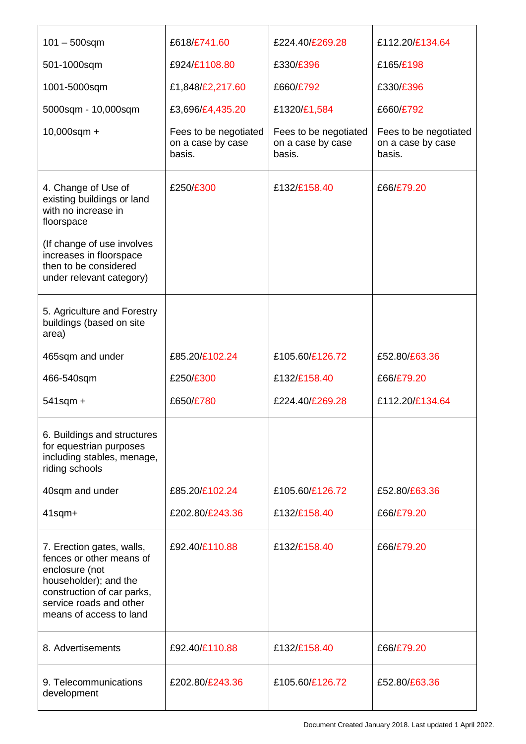| $101 - 500$ sqm                                                                                                                                                                                      | £618/£741.60                                         | £224.40/£269.28                                      | £112.20/£134.64                                      |
|------------------------------------------------------------------------------------------------------------------------------------------------------------------------------------------------------|------------------------------------------------------|------------------------------------------------------|------------------------------------------------------|
| 501-1000sqm                                                                                                                                                                                          | £924/£1108.80                                        | £330/£396                                            | £165/£198                                            |
| 1001-5000sqm                                                                                                                                                                                         | £1,848/£2,217.60                                     | £660/£792                                            | £330/£396                                            |
| 5000sqm - 10,000sqm                                                                                                                                                                                  | £3,696/£4,435.20                                     | £1320/£1,584                                         | £660/£792                                            |
| $10,000$ sqm +                                                                                                                                                                                       | Fees to be negotiated<br>on a case by case<br>basis. | Fees to be negotiated<br>on a case by case<br>basis. | Fees to be negotiated<br>on a case by case<br>basis. |
| 4. Change of Use of<br>existing buildings or land<br>with no increase in<br>floorspace<br>(If change of use involves<br>increases in floorspace<br>then to be considered<br>under relevant category) | £250/£300                                            | £132/£158.40                                         | £66/£79.20                                           |
| 5. Agriculture and Forestry<br>buildings (based on site<br>area)                                                                                                                                     |                                                      |                                                      |                                                      |
| 465sqm and under                                                                                                                                                                                     | £85.20/£102.24                                       | £105.60/£126.72                                      | £52.80/£63.36                                        |
| 466-540sqm                                                                                                                                                                                           | £250/£300                                            | £132/£158.40                                         | £66/£79.20                                           |
| $541$ sqm +                                                                                                                                                                                          | £650/£780                                            | £224.40/£269.28                                      | £112.20/£134.64                                      |
| 6. Buildings and structures<br>for equestrian purposes<br>including stables, menage,<br>riding schools                                                                                               |                                                      |                                                      |                                                      |
| 40sqm and under                                                                                                                                                                                      | £85.20/£102.24                                       | £105.60/£126.72                                      | £52.80/£63.36                                        |
| $41$ sqm $+$                                                                                                                                                                                         | £202.80/£243.36                                      | £132/£158.40                                         | £66/£79.20                                           |
| 7. Erection gates, walls,<br>fences or other means of<br>enclosure (not<br>householder); and the<br>construction of car parks,<br>service roads and other<br>means of access to land                 | £92.40/£110.88                                       | £132/£158.40                                         | £66/£79.20                                           |
| 8. Advertisements                                                                                                                                                                                    | £92.40/£110.88                                       | £132/£158.40                                         | £66/£79.20                                           |
| 9. Telecommunications<br>development                                                                                                                                                                 | £202.80/£243.36                                      | £105.60/£126.72                                      | £52.80/£63.36                                        |